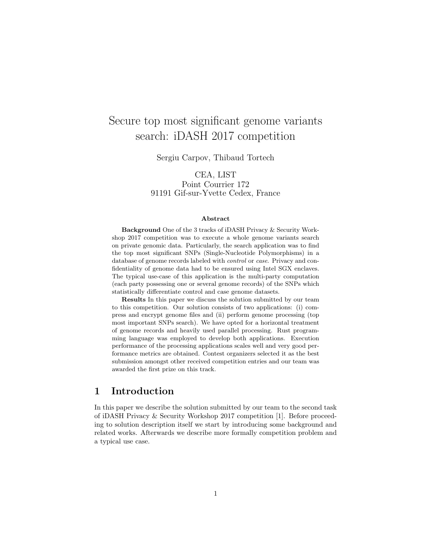# Secure top most significant genome variants search: iDASH 2017 competition

Sergiu Carpov, Thibaud Tortech

CEA, LIST Point Courrier 172 91191 Gif-sur-Yvette Cedex, France

#### Abstract

Background One of the 3 tracks of iDASH Privacy & Security Workshop 2017 competition was to execute a whole genome variants search on private genomic data. Particularly, the search application was to find the top most significant SNPs (Single-Nucleotide Polymorphisms) in a database of genome records labeled with control or case. Privacy and confidentiality of genome data had to be ensured using Intel SGX enclaves. The typical use-case of this application is the multi-party computation (each party possessing one or several genome records) of the SNPs which statistically differentiate control and case genome datasets.

Results In this paper we discuss the solution submitted by our team to this competition. Our solution consists of two applications: (i) compress and encrypt genome files and (ii) perform genome processing (top most important SNPs search). We have opted for a horizontal treatment of genome records and heavily used parallel processing. Rust programming language was employed to develop both applications. Execution performance of the processing applications scales well and very good performance metrics are obtained. Contest organizers selected it as the best submission amongst other received competition entries and our team was awarded the first prize on this track.

# 1 Introduction

In this paper we describe the solution submitted by our team to the second task of iDASH Privacy & Security Workshop 2017 competition [1]. Before proceeding to solution description itself we start by introducing some background and related works. Afterwards we describe more formally competition problem and a typical use case.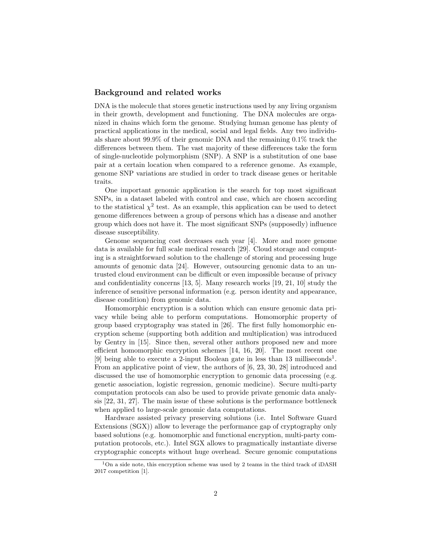#### Background and related works

DNA is the molecule that stores genetic instructions used by any living organism in their growth, development and functioning. The DNA molecules are organized in chains which form the genome. Studying human genome has plenty of practical applications in the medical, social and legal fields. Any two individuals share about 99.9% of their genomic DNA and the remaining 0.1% track the differences between them. The vast majority of these differences take the form of single-nucleotide polymorphism (SNP). A SNP is a substitution of one base pair at a certain location when compared to a reference genome. As example, genome SNP variations are studied in order to track disease genes or heritable traits.

One important genomic application is the search for top most significant SNPs, in a dataset labeled with control and case, which are chosen according to the statistical  $\chi^2$  test. As an example, this application can be used to detect genome differences between a group of persons which has a disease and another group which does not have it. The most significant SNPs (supposedly) influence disease susceptibility.

Genome sequencing cost decreases each year [4]. More and more genome data is available for full scale medical research [29]. Cloud storage and computing is a straightforward solution to the challenge of storing and processing huge amounts of genomic data [24]. However, outsourcing genomic data to an untrusted cloud environment can be difficult or even impossible because of privacy and confidentiality concerns [13, 5]. Many research works [19, 21, 10] study the inference of sensitive personal information (e.g. person identity and appearance, disease condition) from genomic data.

Homomorphic encryption is a solution which can ensure genomic data privacy while being able to perform computations. Homomorphic property of group based cryptography was stated in [26]. The first fully homomorphic encryption scheme (supporting both addition and multiplication) was introduced by Gentry in [15]. Since then, several other authors proposed new and more efficient homomorphic encryption schemes [14, 16, 20]. The most recent one [9] being able to execute a 2-input Boolean gate in less than  $13$  milliseconds<sup>1</sup>. From an applicative point of view, the authors of [6, 23, 30, 28] introduced and discussed the use of homomorphic encryption to genomic data processing (e.g. genetic association, logistic regression, genomic medicine). Secure multi-party computation protocols can also be used to provide private genomic data analysis [22, 31, 27]. The main issue of these solutions is the performance bottleneck when applied to large-scale genomic data computations.

Hardware assisted privacy preserving solutions (i.e. Intel Software Guard Extensions (SGX)) allow to leverage the performance gap of cryptography only based solutions (e.g. homomorphic and functional encryption, multi-party computation protocols, etc.). Intel SGX allows to pragmatically instantiate diverse cryptographic concepts without huge overhead. Secure genomic computations

<sup>1</sup>On a side note, this encryption scheme was used by 2 teams in the third track of iDASH 2017 competition [1].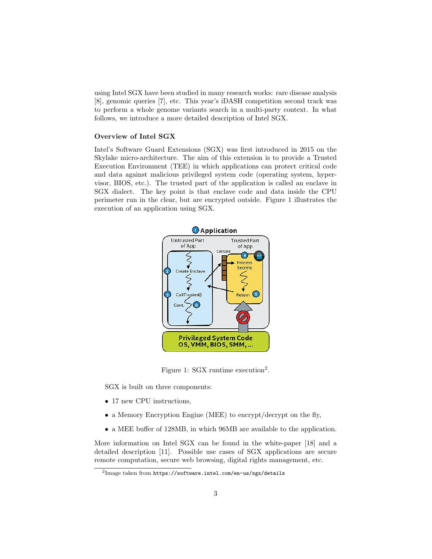using Intel SGX have been studied in many research works: rare disease analysis [8], genomic queries [7], etc. This year's iDASH competition second track was to perform a whole genome variants search in a multi-party context. In what follows, we introduce a more detailed description of Intel SGX.

#### Overview of Intel SGX

Intel's Software Guard Extensions (SGX) was first introduced in 2015 on the Skylake micro-architecture. The aim of this extension is to provide a Trusted Execution Environment (TEE) in which applications can protect critical code and data against malicious privileged system code (operating system, hypervisor, BIOS, etc.). The trusted part of the application is called an enclave in SGX dialect. The key point is that enclave code and data inside the CPU perimeter run in the clear, but are encrypted outside. Figure 1 illustrates the execution of an application using SGX.



Figure 1: SGX runtime execution<sup>2</sup>.

SGX is built on three components:

- 17 new CPU instructions,
- a Memory Encryption Engine (MEE) to encrypt/decrypt on the fly,
- a MEE buffer of 128MB, in which 96MB are available to the application.

More information on Intel SGX can be found in the white-paper [18] and a detailed description [11]. Possible use cases of SGX applications are secure remote computation, secure web browsing, digital rights management, etc.

 $^2$ Image taken from <code>https://software.intel.com/en-us/sgx/details</code>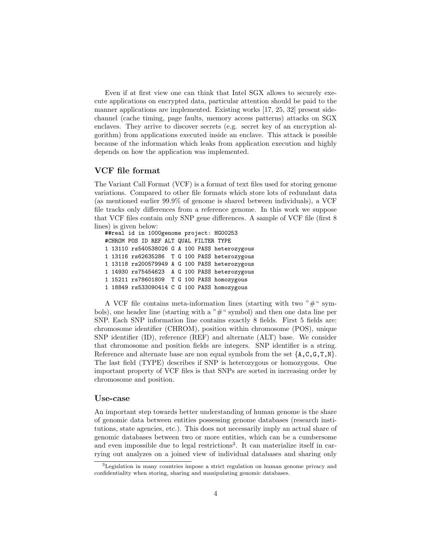Even if at first view one can think that Intel SGX allows to securely execute applications on encrypted data, particular attention should be paid to the manner applications are implemented. Existing works [17, 25, 32] present sidechannel (cache timing, page faults, memory access patterns) attacks on SGX enclaves. They arrive to discover secrets (e.g. secret key of an encryption algorithm) from applications executed inside an enclave. This attack is possible because of the information which leaks from application execution and highly depends on how the application was implemented.

## VCF file format

The Variant Call Format (VCF) is a format of text files used for storing genome variations. Compared to other file formats which store lots of redundant data (as mentioned earlier 99.9% of genome is shared between individuals), a VCF file tracks only differences from a reference genome. In this work we suppose that VCF files contain only SNP gene differences. A sample of VCF file (first 8 lines) is given below:

##real id in 1000genome project: HG00253 #CHROM POS ID REF ALT QUAL FILTER TYPE 1 13110 rs540538026 G A 100 PASS heterozygous 1 13116 rs62635286 T G 100 PASS heterozygous 1 13118 rs200579949 A G 100 PASS heterozygous 1 14930 rs75454623 A G 100 PASS heterozygous 1 15211 rs78601809 T G 100 PASS homozygous 1 18849 rs533090414 C G 100 PASS homozygous

A VCF file contains meta-information lines (starting with two  $"\#$ " symbols), one header line (starting with a  $"#$ " symbol) and then one data line per SNP. Each SNP information line contains exactly 8 fields. First 5 fields are: chromosome identifier (CHROM), position within chromosome (POS), unique SNP identifier (ID), reference (REF) and alternate (ALT) base. We consider that chromosome and position fields are integers. SNP identifier is a string. Reference and alternate base are non equal symbols from the set  $\{A,C,G,T,N\}$ . The last field (TYPE) describes if SNP is heterozygous or homozygous. One important property of VCF files is that SNPs are sorted in increasing order by chromosome and position.

#### Use-case

An important step towards better understanding of human genome is the share of genomic data between entities possessing genome databases (research institutions, state agencies, etc.). This does not necessarily imply an actual share of genomic databases between two or more entities, which can be a cumbersome and even impossible due to legal restrictions<sup>3</sup>. It can materialize itself in carrying out analyzes on a joined view of individual databases and sharing only

<sup>3</sup>Legislation in many countries impose a strict regulation on human genome privacy and confidentiality when storing, sharing and manipulating genomic databases.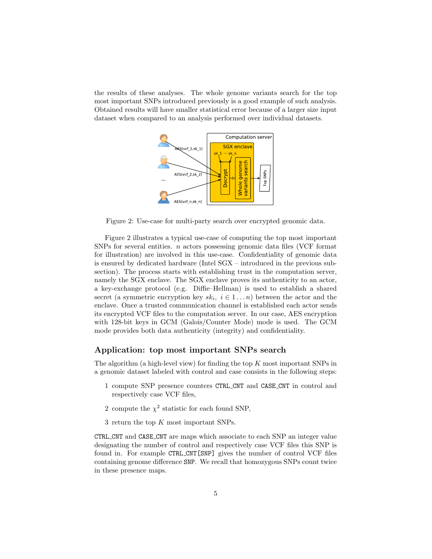the results of these analyses. The whole genome variants search for the top most important SNPs introduced previously is a good example of such analysis. Obtained results will have smaller statistical error because of a larger size input dataset when compared to an analysis performed over individual datasets.



Figure 2: Use-case for multi-party search over encrypted genomic data.

Figure 2 illustrates a typical use-case of computing the top most important SNPs for several entities. n actors possessing genomic data files (VCF format for illustration) are involved in this use-case. Confidentiality of genomic data is ensured by dedicated hardware (Intel SGX – introduced in the previous subsection). The process starts with establishing trust in the computation server, namely the SGX enclave. The SGX enclave proves its authenticity to an actor, a key-exchange protocol (e.g. Diffie–Hellman) is used to establish a shared secret (a symmetric encryption key  $sk_i$ ,  $i \in 1...n$ ) between the actor and the enclave. Once a trusted communication channel is established each actor sends its encrypted VCF files to the computation server. In our case, AES encryption with 128-bit keys in GCM (Galois/Counter Mode) mode is used. The GCM mode provides both data authenticity (integrity) and confidentiality.

#### Application: top most important SNPs search

The algorithm (a high-level view) for finding the top  $K$  most important SNPs in a genomic dataset labeled with control and case consists in the following steps:

- 1 compute SNP presence counters CTRL CNT and CASE CNT in control and respectively case VCF files,
- 2 compute the  $\chi^2$  statistic for each found SNP,
- 3 return the top K most important SNPs.

CTRL CNT and CASE CNT are maps which associate to each SNP an integer value designating the number of control and respectively case VCF files this SNP is found in. For example CTRL CNT[SNP] gives the number of control VCF files containing genome difference SNP. We recall that homozygous SNPs count twice in these presence maps.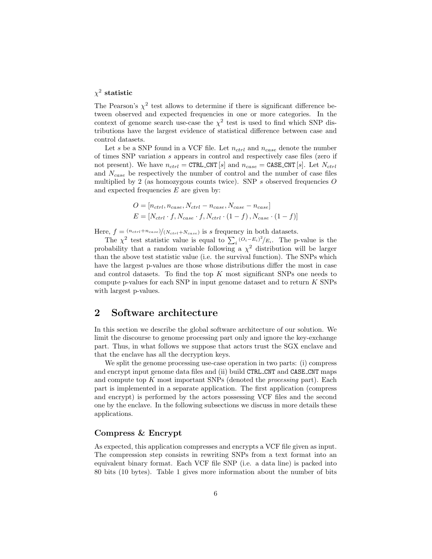## $\chi^2$  statistic

The Pearson's  $\chi^2$  test allows to determine if there is significant difference between observed and expected frequencies in one or more categories. In the context of genome search use-case the  $\chi^2$  test is used to find which SNP distributions have the largest evidence of statistical difference between case and control datasets.

Let s be a SNP found in a VCF file. Let  $n_{ctrl}$  and  $n_{case}$  denote the number of times SNP variation s appears in control and respectively case files (zero if not present). We have  $n_{ctrl} = \text{CTRL-CNT}[s]$  and  $n_{case} = \text{CASE-CNT}[s]$ . Let  $N_{ctrl}$ and  $N_{case}$  be respectively the number of control and the number of case files multiplied by 2 (as homozygous counts twice). SNP  $s$  observed frequencies  $O$ and expected frequencies  $E$  are given by:

$$
O = [n_{ctrl}, n_{case}, N_{ctrl} - n_{case}, N_{case} - n_{case}]
$$
  

$$
E = [N_{ctrl} \cdot f, N_{case} \cdot f, N_{ctrl} \cdot (1 - f), N_{case} \cdot (1 - f)]
$$

Here,  $f = \frac{(n_{ctrl} + n_{case})}{(N_{ctrl} + N_{case})}$  is s frequency in both datasets.

The  $\chi^2$  test statistic value is equal to  $\sum_i (O_i - E_i)^2 / E_i$ . The p-value is the probability that a random variable following a  $\chi^2$  distribution will be larger than the above test statistic value (i.e. the survival function). The SNPs which have the largest p-values are those whose distributions differ the most in case and control datasets. To find the top K most significant SNPs one needs to compute p-values for each SNP in input genome dataset and to return K SNPs with largest p-values.

## 2 Software architecture

In this section we describe the global software architecture of our solution. We limit the discourse to genome processing part only and ignore the key-exchange part. Thus, in what follows we suppose that actors trust the SGX enclave and that the enclave has all the decryption keys.

We split the genome processing use-case operation in two parts: (i) compress and encrypt input genome data files and (ii) build CTRL CNT and CASE CNT maps and compute top  $K$  most important SNPs (denoted the *processing* part). Each part is implemented in a separate application. The first application (compress and encrypt) is performed by the actors possessing VCF files and the second one by the enclave. In the following subsections we discuss in more details these applications.

## Compress & Encrypt

As expected, this application compresses and encrypts a VCF file given as input. The compression step consists in rewriting SNPs from a text format into an equivalent binary format. Each VCF file SNP (i.e. a data line) is packed into 80 bits (10 bytes). Table 1 gives more information about the number of bits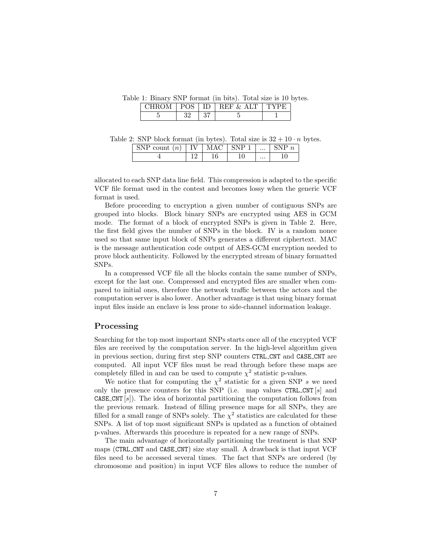Table 1: Binary SNP format (in bits). Total size is 10 bytes.

| ∼<br>◡ |  |  |
|--------|--|--|
|        |  |  |

Table 2: SNP block format (in bytes). Total size is  $32 + 10 \cdot n$  bytes.

| $c$ $\alpha$ unt<br>$\boldsymbol{\eta}$<br>$\tilde{}$ | TTT |    | $\cdots$ |    |
|-------------------------------------------------------|-----|----|----------|----|
|                                                       |     | ΙU | $\cdots$ | ⊥∪ |

allocated to each SNP data line field. This compression is adapted to the specific VCF file format used in the contest and becomes lossy when the generic VCF format is used.

Before proceeding to encryption a given number of contiguous SNPs are grouped into blocks. Block binary SNPs are encrypted using AES in GCM mode. The format of a block of encrypted SNPs is given in Table 2. Here, the first field gives the number of SNPs in the block. IV is a random nonce used so that same input block of SNPs generates a different ciphertext. MAC is the message authentication code output of AES-GCM encryption needed to prove block authenticity. Followed by the encrypted stream of binary formatted SNPs.

In a compressed VCF file all the blocks contain the same number of SNPs, except for the last one. Compressed and encrypted files are smaller when compared to initial ones, therefore the network traffic between the actors and the computation server is also lower. Another advantage is that using binary format input files inside an enclave is less prone to side-channel information leakage.

## Processing

Searching for the top most important SNPs starts once all of the encrypted VCF files are received by the computation server. In the high-level algorithm given in previous section, during first step SNP counters CTRL CNT and CASE CNT are computed. All input VCF files must be read through before these maps are completely filled in and can be used to compute  $\chi^2$  statistic p-values.

We notice that for computing the  $\chi^2$  statistic for a given SNP s we need only the presence counters for this SNP (i.e. map values  $\texttt{CTRL-CNT}[s]$  and **CASE CNT**  $[s]$ ). The idea of horizontal partitioning the computation follows from the previous remark. Instead of filling presence maps for all SNPs, they are filled for a small range of SNPs solely. The  $\chi^2$  statistics are calculated for these SNPs. A list of top most significant SNPs is updated as a function of obtained p-values. Afterwards this procedure is repeated for a new range of SNPs.

The main advantage of horizontally partitioning the treatment is that SNP maps (CTRL CNT and CASE CNT) size stay small. A drawback is that input VCF files need to be accessed several times. The fact that SNPs are ordered (by chromosome and position) in input VCF files allows to reduce the number of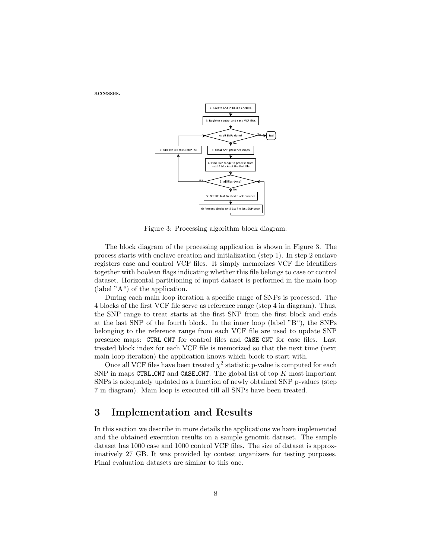

accesses.



Figure 3: Processing algorithm block diagram.

The block diagram of the processing application is shown in Figure 3. The process starts with enclave creation and initialization (step 1). In step 2 enclave registers case and control VCF files. It simply memorizes VCF file identifiers together with boolean flags indicating whether this file belongs to case or control dataset. Horizontal partitioning of input dataset is performed in the main loop (label "A") of the application.

During each main loop iteration a specific range of SNPs is processed. The 4 blocks of the first VCF file serve as reference range (step 4 in diagram). Thus, the SNP range to treat starts at the first SNP from the first block and ends at the last SNP of the fourth block. In the inner loop (label "B"), the SNPs belonging to the reference range from each VCF file are used to update SNP presence maps: CTRL CNT for control files and CASE CNT for case files. Last treated block index for each VCF file is memorized so that the next time (next main loop iteration) the application knows which block to start with.

Once all VCF files have been treated  $\chi^2$  statistic p-value is computed for each SNP in maps CTRL CNT and CASE CNT. The global list of top  $K$  most important SNPs is adequately updated as a function of newly obtained SNP p-values (step 7 in diagram). Main loop is executed till all SNPs have been treated.

# 3 Implementation and Results

In this section we describe in more details the applications we have implemented and the obtained execution results on a sample genomic dataset. The sample dataset has 1000 case and 1000 control VCF files. The size of dataset is approximatively 27 GB. It was provided by contest organizers for testing purposes. Final evaluation datasets are similar to this one.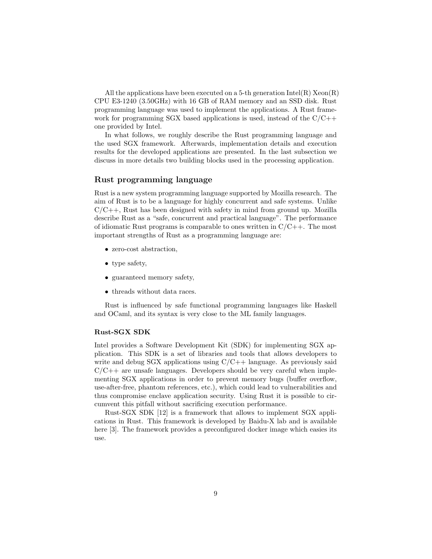All the applications have been executed on a 5-th generation  $\text{Intel}(R)$  Xeon $(R)$ CPU E3-1240 (3.50GHz) with 16 GB of RAM memory and an SSD disk. Rust programming language was used to implement the applications. A Rust framework for programming SGX based applications is used, instead of the  $C/C++$ one provided by Intel.

In what follows, we roughly describe the Rust programming language and the used SGX framework. Afterwards, implementation details and execution results for the developed applications are presented. In the last subsection we discuss in more details two building blocks used in the processing application.

#### Rust programming language

Rust is a new system programming language supported by Mozilla research. The aim of Rust is to be a language for highly concurrent and safe systems. Unlike  $C/C++$ , Rust has been designed with safety in mind from ground up. Mozilla describe Rust as a "safe, concurrent and practical language". The performance of idiomatic Rust programs is comparable to ones written in  $C/C++$ . The most important strengths of Rust as a programming language are:

- zero-cost abstraction,
- type safety,
- guaranteed memory safety,
- threads without data races.

Rust is influenced by safe functional programming languages like Haskell and OCaml, and its syntax is very close to the ML family languages.

#### Rust-SGX SDK

Intel provides a Software Development Kit (SDK) for implementing SGX application. This SDK is a set of libraries and tools that allows developers to write and debug  $SGX$  applications using  $C/C++$  language. As previously said  $C/C++$  are unsafe languages. Developers should be very careful when implementing SGX applications in order to prevent memory bugs (buffer overflow, use-after-free, phantom references, etc.), which could lead to vulnerabilities and thus compromise enclave application security. Using Rust it is possible to circumvent this pitfall without sacrificing execution performance.

Rust-SGX SDK [12] is a framework that allows to implement SGX applications in Rust. This framework is developed by Baidu-X lab and is available here [3]. The framework provides a preconfigured docker image which easies its use.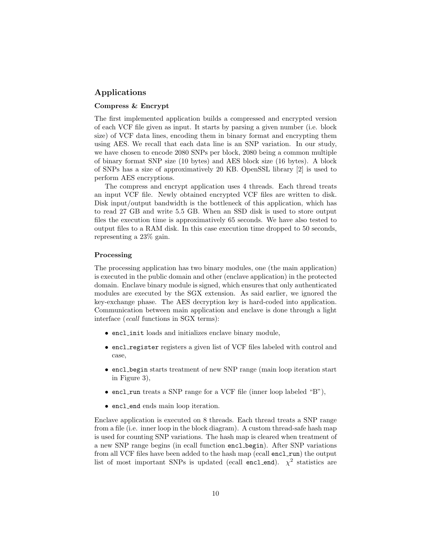## Applications

#### Compress & Encrypt

The first implemented application builds a compressed and encrypted version of each VCF file given as input. It starts by parsing a given number (i.e. block size) of VCF data lines, encoding them in binary format and encrypting them using AES. We recall that each data line is an SNP variation. In our study, we have chosen to encode 2080 SNPs per block, 2080 being a common multiple of binary format SNP size (10 bytes) and AES block size (16 bytes). A block of SNPs has a size of approximatively 20 KB. OpenSSL library [2] is used to perform AES encryptions.

The compress and encrypt application uses 4 threads. Each thread treats an input VCF file. Newly obtained encrypted VCF files are written to disk. Disk input/output bandwidth is the bottleneck of this application, which has to read 27 GB and write 5.5 GB. When an SSD disk is used to store output files the execution time is approximatively 65 seconds. We have also tested to output files to a RAM disk. In this case execution time dropped to 50 seconds, representing a 23% gain.

#### Processing

The processing application has two binary modules, one (the main application) is executed in the public domain and other (enclave application) in the protected domain. Enclave binary module is signed, which ensures that only authenticated modules are executed by the SGX extension. As said earlier, we ignored the key-exchange phase. The AES decryption key is hard-coded into application. Communication between main application and enclave is done through a light interface (ecall functions in SGX terms):

- encl init loads and initializes enclave binary module,
- encl\_register registers a given list of VCF files labeled with control and case,
- encl begin starts treatment of new SNP range (main loop iteration start in Figure 3),
- encl\_run treats a SNP range for a VCF file (inner loop labeled "B"),
- encl\_end ends main loop iteration.

Enclave application is executed on 8 threads. Each thread treats a SNP range from a file (i.e. inner loop in the block diagram). A custom thread-safe hash map is used for counting SNP variations. The hash map is cleared when treatment of a new SNP range begins (in ecall function encl begin). After SNP variations from all VCF files have been added to the hash map (ecall encl\_run) the output list of most important SNPs is updated (ecall encl\_end).  $\chi^2$  statistics are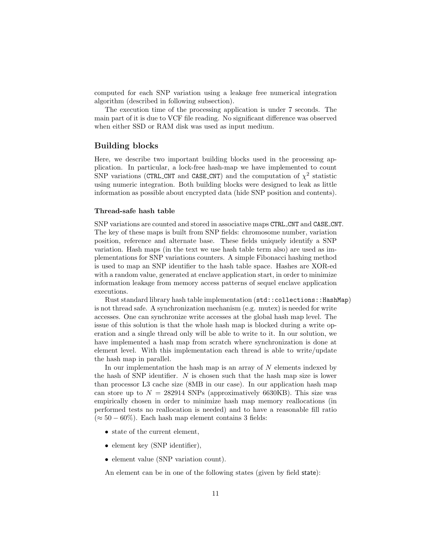computed for each SNP variation using a leakage free numerical integration algorithm (described in following subsection).

The execution time of the processing application is under 7 seconds. The main part of it is due to VCF file reading. No significant difference was observed when either SSD or RAM disk was used as input medium.

## Building blocks

Here, we describe two important building blocks used in the processing application. In particular, a lock-free hash-map we have implemented to count SNP variations (CTRL\_CNT and CASE\_CNT) and the computation of  $\chi^2$  statistic using numeric integration. Both building blocks were designed to leak as little information as possible about encrypted data (hide SNP position and contents).

#### Thread-safe hash table

SNP variations are counted and stored in associative maps CTRL CNT and CASE CNT. The key of these maps is built from SNP fields: chromosome number, variation position, reference and alternate base. These fields uniquely identify a SNP variation. Hash maps (in the text we use hash table term also) are used as implementations for SNP variations counters. A simple Fibonacci hashing method is used to map an SNP identifier to the hash table space. Hashes are XOR-ed with a random value, generated at enclave application start, in order to minimize information leakage from memory access patterns of sequel enclave application executions.

Rust standard library hash table implementation (std::collections::HashMap) is not thread safe. A synchronization mechanism (e.g. mutex) is needed for write accesses. One can synchronize write accesses at the global hash map level. The issue of this solution is that the whole hash map is blocked during a write operation and a single thread only will be able to write to it. In our solution, we have implemented a hash map from scratch where synchronization is done at element level. With this implementation each thread is able to write/update the hash map in parallel.

In our implementation the hash map is an array of  $N$  elements indexed by the hash of SNP identifier.  $N$  is chosen such that the hash map size is lower than processor L3 cache size (8MB in our case). In our application hash map can store up to  $N = 282914$  SNPs (approximatively 6630KB). This size was empirically chosen in order to minimize hash map memory reallocations (in performed tests no reallocation is needed) and to have a reasonable fill ratio  $(\approx 50 - 60\%)$ . Each hash map element contains 3 fields:

- state of the current element,
- element key (SNP identifier),
- element value (SNP variation count).

An element can be in one of the following states (given by field state):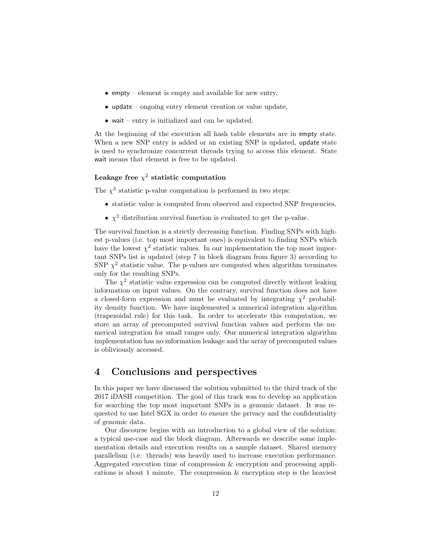- empty element is empty and available for new entry,
- update ongoing entry element creation or value update,
- wait entry is initialized and can be updated.

At the beginning of the execution all hash table elements are in empty state. When a new SNP entry is added or an existing SNP is updated, update state is used to synchronize concurrent threads trying to access this element. State wait means that element is free to be updated.

## Leakage free  $\chi^2$  statistic computation

The  $\chi^2$  statistic p-value computation is performed in two steps:

- statistic value is computed from observed and expected SNP frequencies,
- $\chi^2$  distribution survival function is evaluated to get the p-value.

The survival function is a strictly decreasing function. Finding SNPs with highest p-values (i.e. top most important ones) is equivalent to finding SNPs which have the lowest  $\chi^2$  statistic values. In our implementation the top most important SNPs list is updated (step 7 in block diagram from figure 3) according to SNP  $\chi^2$  statistic value. The p-values are computed when algorithm terminates only for the resulting SNPs.

The  $\chi^2$  statistic value expression can be computed directly without leaking information on input values. On the contrary, survival function does not have a closed-form expression and must be evaluated by integrating  $\chi^2$  probability density function. We have implemented a numerical integration algorithm (trapezoidal rule) for this task. In order to accelerate this computation, we store an array of precomputed survival function values and perform the numerical integration for small ranges only. Our numerical integration algorithm implementation has no information leakage and the array of precomputed values is obliviously accessed.

# 4 Conclusions and perspectives

In this paper we have discussed the solution submitted to the third track of the 2017 iDASH competition. The goal of this track was to develop an application for searching the top most important SNPs in a genomic dataset. It was requested to use Intel SGX in order to ensure the privacy and the confidentiality of genomic data.

Our discourse begins with an introduction to a global view of the solution: a typical use-case and the block diagram. Afterwards we describe some implementation details and execution results on a sample dataset. Shared memory parallelism (i.e. threads) was heavily used to increase execution performance. Aggregated execution time of compression & encryption and processing applications is about 1 minute. The compression  $\&$  encryption step is the heaviest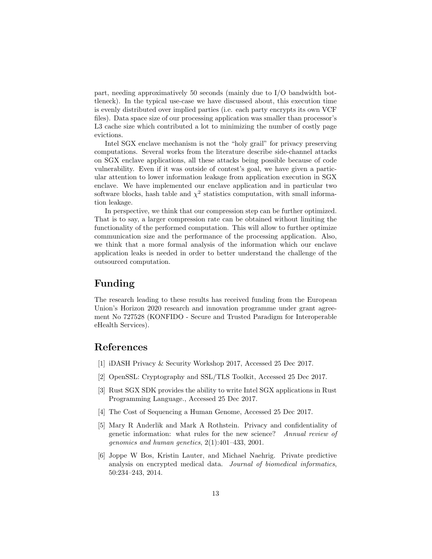part, needing approximatively 50 seconds (mainly due to I/O bandwidth bottleneck). In the typical use-case we have discussed about, this execution time is evenly distributed over implied parties (i.e. each party encrypts its own VCF files). Data space size of our processing application was smaller than processor's L3 cache size which contributed a lot to minimizing the number of costly page evictions.

Intel SGX enclave mechanism is not the "holy grail" for privacy preserving computations. Several works from the literature describe side-channel attacks on SGX enclave applications, all these attacks being possible because of code vulnerability. Even if it was outside of contest's goal, we have given a particular attention to lower information leakage from application execution in SGX enclave. We have implemented our enclave application and in particular two software blocks, hash table and  $\chi^2$  statistics computation, with small information leakage.

In perspective, we think that our compression step can be further optimized. That is to say, a larger compression rate can be obtained without limiting the functionality of the performed computation. This will allow to further optimize communication size and the performance of the processing application. Also, we think that a more formal analysis of the information which our enclave application leaks is needed in order to better understand the challenge of the outsourced computation.

# Funding

The research leading to these results has received funding from the European Union's Horizon 2020 research and innovation programme under grant agreement No 727528 (KONFIDO - Secure and Trusted Paradigm for Interoperable eHealth Services).

# References

- [1] iDASH Privacy & Security Workshop 2017, Accessed 25 Dec 2017.
- [2] OpenSSL: Cryptography and SSL/TLS Toolkit, Accessed 25 Dec 2017.
- [3] Rust SGX SDK provides the ability to write Intel SGX applications in Rust Programming Language., Accessed 25 Dec 2017.
- [4] The Cost of Sequencing a Human Genome, Accessed 25 Dec 2017.
- [5] Mary R Anderlik and Mark A Rothstein. Privacy and confidentiality of genetic information: what rules for the new science? Annual review of genomics and human genetics, 2(1):401–433, 2001.
- [6] Joppe W Bos, Kristin Lauter, and Michael Naehrig. Private predictive analysis on encrypted medical data. Journal of biomedical informatics, 50:234–243, 2014.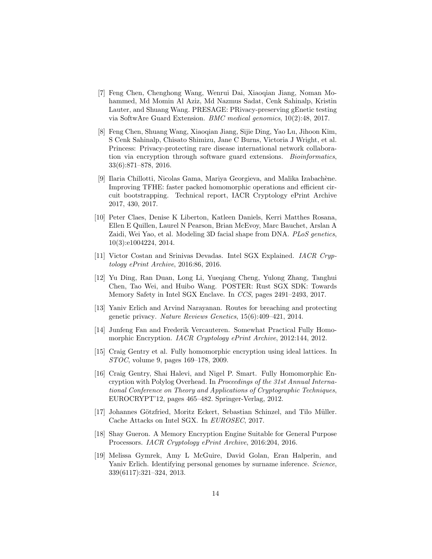- [7] Feng Chen, Chenghong Wang, Wenrui Dai, Xiaoqian Jiang, Noman Mohammed, Md Momin Al Aziz, Md Nazmus Sadat, Cenk Sahinalp, Kristin Lauter, and Shuang Wang. PRESAGE: PRivacy-preserving gEnetic testing via SoftwAre Guard Extension. BMC medical genomics, 10(2):48, 2017.
- [8] Feng Chen, Shuang Wang, Xiaoqian Jiang, Sijie Ding, Yao Lu, Jihoon Kim, S Cenk Sahinalp, Chisato Shimizu, Jane C Burns, Victoria J Wright, et al. Princess: Privacy-protecting rare disease international network collaboration via encryption through software guard extensions. Bioinformatics, 33(6):871–878, 2016.
- [9] Ilaria Chillotti, Nicolas Gama, Mariya Georgieva, and Malika Izabachène. Improving TFHE: faster packed homomorphic operations and efficient circuit bootstrapping. Technical report, IACR Cryptology ePrint Archive 2017, 430, 2017.
- [10] Peter Claes, Denise K Liberton, Katleen Daniels, Kerri Matthes Rosana, Ellen E Quillen, Laurel N Pearson, Brian McEvoy, Marc Bauchet, Arslan A Zaidi, Wei Yao, et al. Modeling 3D facial shape from DNA. PLoS genetics, 10(3):e1004224, 2014.
- [11] Victor Costan and Srinivas Devadas. Intel SGX Explained. IACR Cryptology ePrint Archive, 2016:86, 2016.
- [12] Yu Ding, Ran Duan, Long Li, Yueqiang Cheng, Yulong Zhang, Tanghui Chen, Tao Wei, and Huibo Wang. POSTER: Rust SGX SDK: Towards Memory Safety in Intel SGX Enclave. In CCS, pages 2491–2493, 2017.
- [13] Yaniv Erlich and Arvind Narayanan. Routes for breaching and protecting genetic privacy. Nature Reviews Genetics, 15(6):409–421, 2014.
- [14] Junfeng Fan and Frederik Vercauteren. Somewhat Practical Fully Homomorphic Encryption. IACR Cryptology ePrint Archive, 2012:144, 2012.
- [15] Craig Gentry et al. Fully homomorphic encryption using ideal lattices. In STOC, volume 9, pages 169–178, 2009.
- [16] Craig Gentry, Shai Halevi, and Nigel P. Smart. Fully Homomorphic Encryption with Polylog Overhead. In Proceedings of the 31st Annual International Conference on Theory and Applications of Cryptographic Techniques, EUROCRYPT'12, pages 465–482. Springer-Verlag, 2012.
- [17] Johannes Götzfried, Moritz Eckert, Sebastian Schinzel, and Tilo Müller. Cache Attacks on Intel SGX. In EUROSEC, 2017.
- [18] Shay Gueron. A Memory Encryption Engine Suitable for General Purpose Processors. IACR Cryptology ePrint Archive, 2016:204, 2016.
- [19] Melissa Gymrek, Amy L McGuire, David Golan, Eran Halperin, and Yaniv Erlich. Identifying personal genomes by surname inference. Science, 339(6117):321–324, 2013.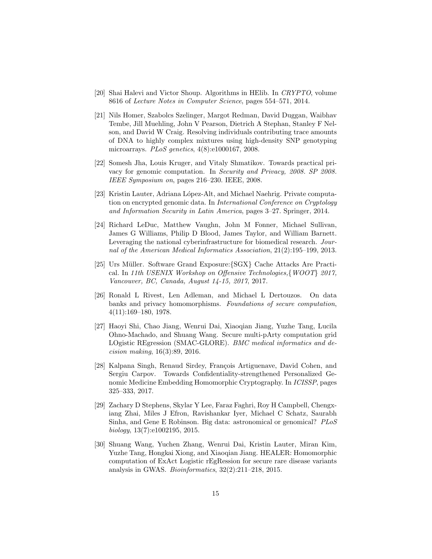- [20] Shai Halevi and Victor Shoup. Algorithms in HElib. In CRYPTO, volume 8616 of Lecture Notes in Computer Science, pages 554–571, 2014.
- [21] Nils Homer, Szabolcs Szelinger, Margot Redman, David Duggan, Waibhav Tembe, Jill Muehling, John V Pearson, Dietrich A Stephan, Stanley F Nelson, and David W Craig. Resolving individuals contributing trace amounts of DNA to highly complex mixtures using high-density SNP genotyping microarrays. PLoS genetics, 4(8):e1000167, 2008.
- [22] Somesh Jha, Louis Kruger, and Vitaly Shmatikov. Towards practical privacy for genomic computation. In Security and Privacy, 2008. SP 2008. IEEE Symposium on, pages 216–230. IEEE, 2008.
- [23] Kristin Lauter, Adriana López-Alt, and Michael Naehrig. Private computation on encrypted genomic data. In International Conference on Cryptology and Information Security in Latin America, pages 3–27. Springer, 2014.
- [24] Richard LeDuc, Matthew Vaughn, John M Fonner, Michael Sullivan, James G Williams, Philip D Blood, James Taylor, and William Barnett. Leveraging the national cyberinfrastructure for biomedical research. Journal of the American Medical Informatics Association, 21(2):195–199, 2013.
- [25] Urs Müller. Software Grand Exposure: {SGX} Cache Attacks Are Practical. In 11th USENIX Workshop on Offensive Technologies,{WOOT} 2017, Vancouver, BC, Canada, August 14-15, 2017, 2017.
- [26] Ronald L Rivest, Len Adleman, and Michael L Dertouzos. On data banks and privacy homomorphisms. Foundations of secure computation, 4(11):169–180, 1978.
- [27] Haoyi Shi, Chao Jiang, Wenrui Dai, Xiaoqian Jiang, Yuzhe Tang, Lucila Ohno-Machado, and Shuang Wang. Secure multi-pArty computation grid LOgistic REgression (SMAC-GLORE). BMC medical informatics and decision making, 16(3):89, 2016.
- [28] Kalpana Singh, Renaud Sirdey, François Artiguenave, David Cohen, and Sergiu Carpov. Towards Confidentiality-strengthened Personalized Genomic Medicine Embedding Homomorphic Cryptography. In ICISSP, pages 325–333, 2017.
- [29] Zachary D Stephens, Skylar Y Lee, Faraz Faghri, Roy H Campbell, Chengxiang Zhai, Miles J Efron, Ravishankar Iyer, Michael C Schatz, Saurabh Sinha, and Gene E Robinson. Big data: astronomical or genomical? PLoS biology, 13(7):e1002195, 2015.
- [30] Shuang Wang, Yuchen Zhang, Wenrui Dai, Kristin Lauter, Miran Kim, Yuzhe Tang, Hongkai Xiong, and Xiaoqian Jiang. HEALER: Homomorphic computation of ExAct Logistic rEgRession for secure rare disease variants analysis in GWAS. Bioinformatics, 32(2):211–218, 2015.